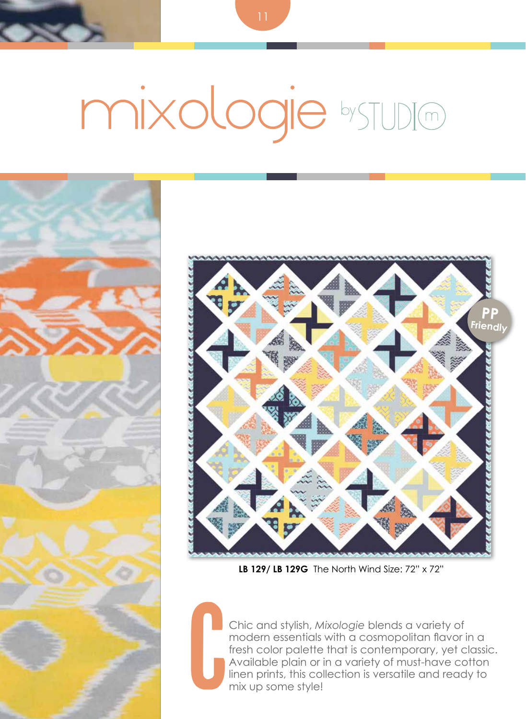## mixologie bystupio





**LB 129/ LB 129G** The North Wind Size: 72" x 72"

c Chic and stylish, *Mixologie* blends a variety of modern essentials with a cosmopolitan flavor in a fresh color palette that is contemporary, yet classic. Available plain or in a variety of must-have cotton linen prints, this collection is versatile and ready to mix up some style!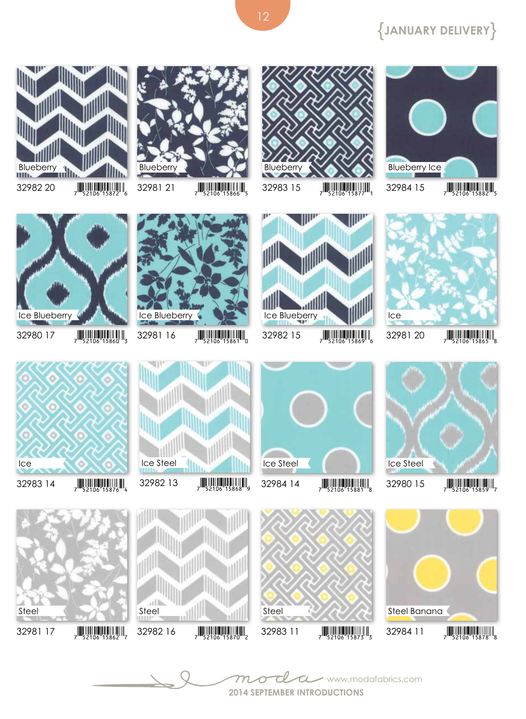## {**January Delivery**}







12



Ш







 $3298120$   $7$   $52106$   $15865$ 



























 $32982$  16  $\frac{1}{7}$   $\frac{1}{52106}$   $\frac{1}{15870}$ 



































 $32980$  15  $\frac{1}{7}$   $\frac{1}{52106}$   $\frac{1}{15859}$ 











 $32981$  17  $\frac{1}{2}$   $\frac{1}{2}$   $\frac{1}{2}$   $\frac{1}{2}$   $\frac{1}{2}$   $\frac{1}{2}$   $\frac{1}{2}$   $\frac{1}{2}$   $\frac{1}{2}$   $\frac{1}{2}$   $\frac{1}{2}$   $\frac{1}{2}$   $\frac{1}{2}$   $\frac{1}{2}$   $\frac{1}{2}$   $\frac{1}{2}$   $\frac{1}{2}$   $\frac{1}{2}$   $\frac{1}{2}$   $\frac{1}{2}$   $\frac{1}{2}$ 

32980 17  $\frac{1}{7}$   $\frac{1}{52106}$  15860  $\frac{1}{3}$ 

Ice Blueberry

Ice

Steel





Steel

all



 $32984$  14  $\frac{1}{7}$   $\frac{1}{52106}$  15881 8

Ice Steel



Ice Blueberry

Steel

- $32983$  11  $7$   $\frac{1}{2}$   $\frac{1}{2}$   $\frac{1}{2}$   $\frac{1}{2}$   $\frac{1}{2}$   $\frac{1}{2}$   $\frac{1}{2}$   $\frac{1}{2}$   $\frac{1}{2}$   $\frac{1}{2}$   $\frac{1}{2}$   $\frac{1}{2}$   $\frac{1}{2}$   $\frac{1}{2}$   $\frac{1}{2}$   $\frac{1}{2}$   $\frac{1}{2}$   $\frac{1}{2}$   $\frac{1}{2}$   $\frac{1}{2}$   $\frac{1}{$ 
	-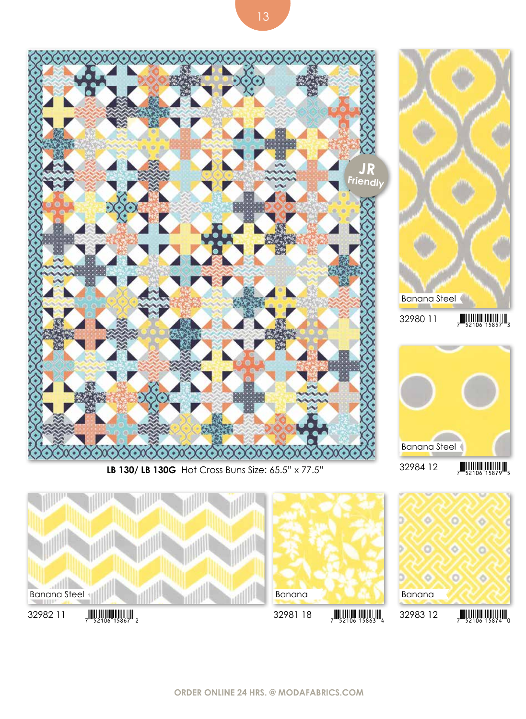

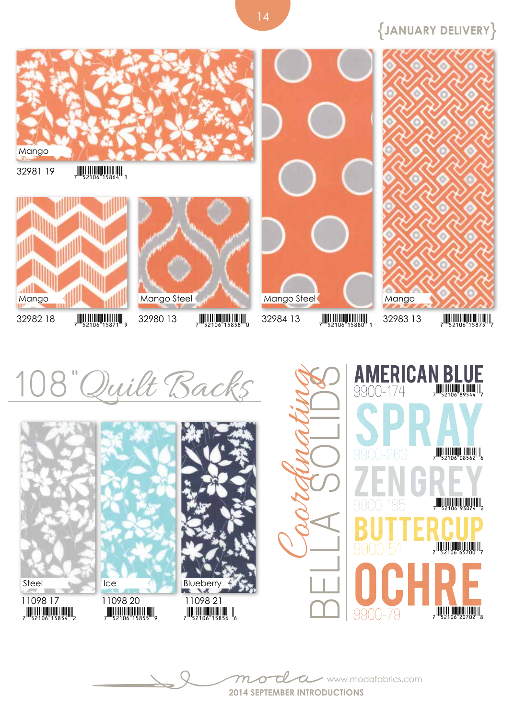{**January Delivery**}



14



**2014 September introductions** www.modafabrics.com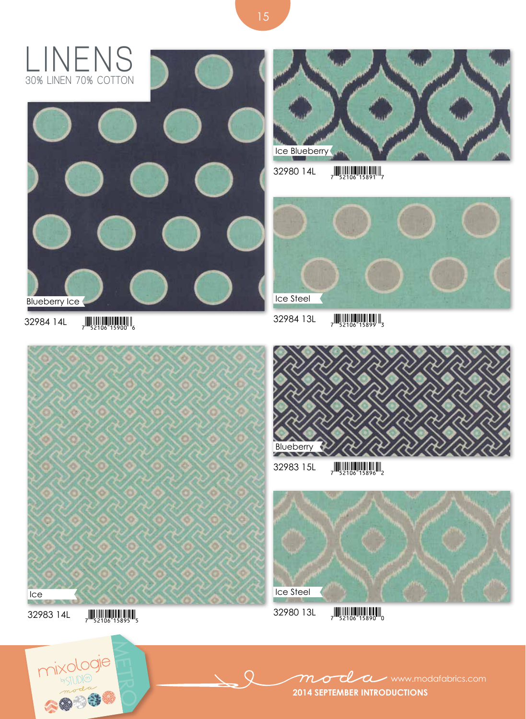



 $32980$  14L  $\frac{1}{7}$   $\frac{1}{52106}$   $\frac{1}{15891}$   $\frac{1}{7}$ 



 $32984$  14L  $\frac{1}{7}$   $\frac{1}{52106}$   $\frac{1}{15900}$   $\frac{1}{6}$ 

Ice

 $32983$  15L  $\frac{1}{7}$   $\frac{1}{52106}$   $\frac{1}{15896}$   $\frac{1}{2}$ Blueberry

 $\bigcirc$ 



 $32983$  14L  $_{7}$   $\frac{1}{52106}$   $15895$   $_{5}$ 



ocl **WWW.modafabrics.com**  $m$ **2014 September introductions**

15